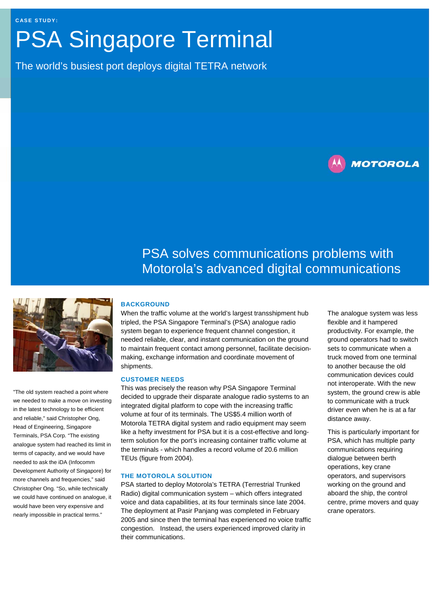# PSA Singapore Terminal

The world's busiest port deploys digital TETRA network



## PSA solves communications problems with Motorola's advanced digital communications



"The old system reached a point where we needed to make a move on investing in the latest technology to be efficient and reliable," said Christopher Ong, Head of Engineering, Singapore Terminals, PSA Corp. "The existing analogue system had reached its limit in terms of capacity, and we would have needed to ask the iDA (Infocomm Development Authority of Singapore) for more channels and frequencies," said Christopher Ong. "So, while technically we could have continued on analogue, it would have been very expensive and nearly impossible in practical terms."

### **BACKGROUND**

When the traffic volume at the world's largest transshipment hub tripled, the PSA Singapore Terminal's (PSA) analogue radio system began to experience frequent channel congestion, it needed reliable, clear, and instant communication on the ground to maintain frequent contact among personnel, facilitate decisionmaking, exchange information and coordinate movement of shipments.

#### **CUSTOMER NEEDS**

This was precisely the reason why PSA Singapore Terminal decided to upgrade their disparate analogue radio systems to an integrated digital platform to cope with the increasing traffic volume at four of its terminals. The US\$5.4 million worth of Motorola TETRA digital system and radio equipment may seem like a hefty investment for PSA but it is a cost-effective and longterm solution for the port's increasing container traffic volume at the terminals - which handles a record volume of 20.6 million TEUs (figure from 2004).

#### **THE MOTOROLA SOLUTION**

PSA started to deploy Motorola's TETRA (Terrestrial Trunked Radio) digital communication system – which offers integrated voice and data capabilities, at its four terminals since late 2004. The deployment at Pasir Panjang was completed in February 2005 and since then the terminal has experienced no voice traffic congestion. Instead, the users experienced improved clarity in their communications.

The analogue system was less flexible and it hampered productivity. For example, the ground operators had to switch sets to communicate when a truck moved from one terminal to another because the old communication devices could not interoperate. With the new system, the ground crew is able to communicate with a truck driver even when he is at a far distance away.

This is particularly important for PSA, which has multiple party communications requiring dialogue between berth operations, key crane operators, and supervisors working on the ground and aboard the ship, the control centre, prime movers and quay crane operators.